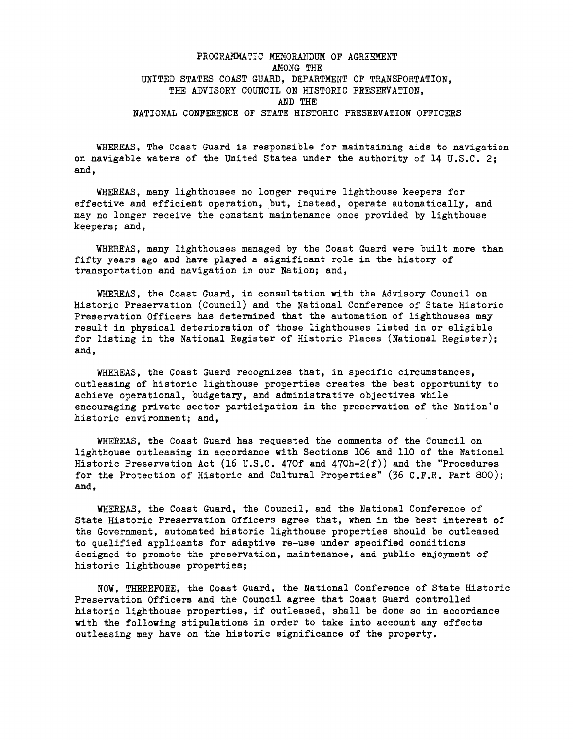# PROGRAMMATIC MEMORANDUM OF AGREEMENT AMONG THE UNITED STATES COAST GUARD, DEPARTMENT OF TRANSPORTATION, THE ADVISORY COUNCIL ON HISTORIC PRESERVATION. AND THE NATIONAL CONFERENCE OF STATE HISTORIC PRESERVATION OFFICERS

WHEREAS. The Coast Guard is responsible for maintaining aids to navigation on navigable waters of the United States under the authority of 14 U.S.C. 2; and,

WHEREAS, many lighthouses no longer require lighthouse keepers for effective and efficient operation, but, instead, operate automatically, and may no longer receive the constant maintenance once provided by lighthouse keepers; and,

WHEREAS, many lighthouses managed by the Coast Guard **were** built more than fifty years ago and have played a significant role in the history of transportation and navigation in our Nation; and,

WHEREAS, the Coast Guard, in consultation **with** the Advisory Council on Historic Preservation (Council) and the National Conference of State Historic Preservation Officers has determined that the automation of lighthouses may result in physical deterioration of those lighthouses listed in or eligible for listing in the National Register of Historic Places (National Register); and,

WHEREAS, the Coast Guard recognizes that, in specific circumstances, outleasing of historic lighthouse properties creates the best opportunity to achieve operational, budgetary, and administrative objectives while encouraging private sector participation in the preservation of the Nation's historic environment; and,

WHEREAS, the Coast Guard has requested the comments of the Council on lighthouse outleasing in accordance with Sections 106 and 110 of the National Historic Preservation Act (16 U.S.C. 470f and  $470h-2(f)$ ) and the "Procedures for the Protection of Historic and Cultural Properties" (36 C.F.R. Part 800); **and,** 

WHEREAS, the Coast Guard, the Council, and the National Conference of State Historic Preservation Officers agree that, **when** in the best interest of the Government, automated historic lighthouse properties should be outleased to qualified applicants for adaptive re-use under specified conditions designed to promote the preservation, maintenance, and public enjoyment of historic lighthouse properties;

NOW, THEREFORE, the Coast Guard, the National Conference of State Historic Preservation Officers and the Council agree that Coast Guard controlled historic lighthouse properties, if outleased, shall be done so in accordance with the following stipulations in order to take into account any effects outleasing may have on the historic significance of the property.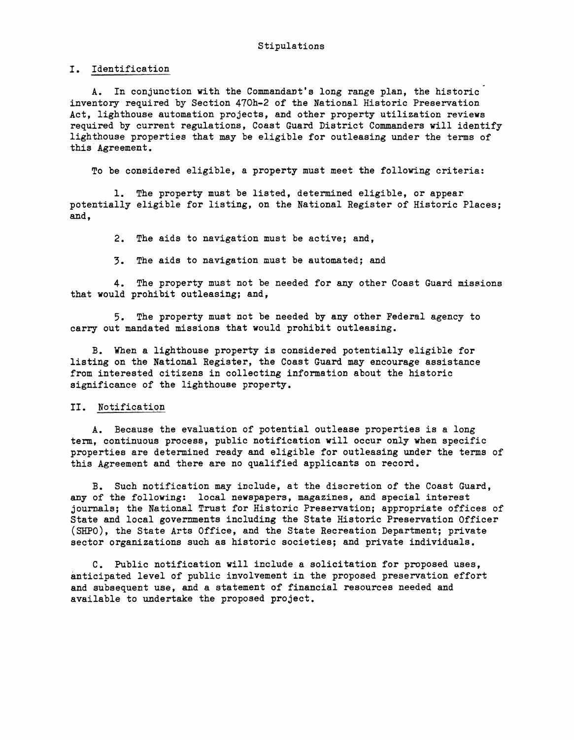I. Identification

A. In conjunction with the Commandant's long range plan, the historic inventory required by Section 470h-2 of the National Historic Preservation Act, lighthouse automation projects, and other property utilization reviews required by current regulations, Coast Guard District Commanders will identify lighthouse properties that may be eligible for outleasing under the terms of this Agreement.

To be considered eligible, a property must meet the following criteria:

1. The property must be listed, determined eligible, or appear potentially eligible for listing, on the National Register of Historic Places; and,

2. The aids to navigation must be active; and,

3. The aids to navigation must be automated; and

4. The property must not be needed for any other Coast Guard missions that would prohibit outleasing; and,

5. The property must not be needed by any other Federal agency to carry out mandated missions that would prohibit outleasing.

B. When a lighthouse property is considered potentially eligible for listing on the National Register, the Coast Guard may encourage assistance from interested citizens in collecting information about the historic significance of the lighthouse property.

### II. Notification

A. Because the evaluation of potential outlease properties is a long term, continuous process, public notification will occur only when specific properties are determined ready and eligible for outleasing under the terms of this Agreement and there are no qualified applicants on record.

B. Such notification may include, at the discretion of the Coast Guard, any of the following: local newspapers, magazines, and special interest journals; the National Trust for Historic Preservation; appropriate offices of State and local governments including the State Historic Preservation Officer (SHPO), the State Arts Office, and the State Recreation Department; private sector organizations such as historic societies; and private individuals.

C. Public notification will include a solicitation for proposed uses, anticipated level of public involvement in the proposed preservation effort and subsequent use, and a statement of financial resources needed and available to undertake the proposed project.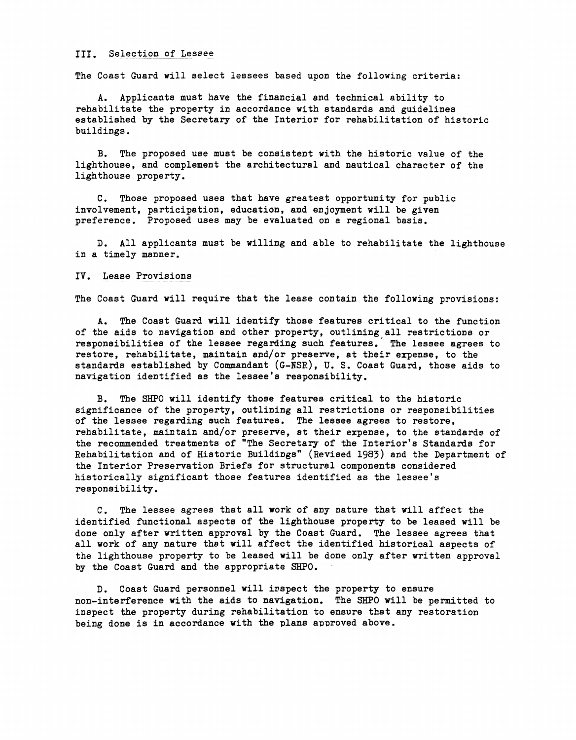#### III. Selection of Lessee

The Coast Guard will select lessees based upon the following criteria:

A. Applicants must have the financial and technical ability to rehabilitate the property in accordance with standards and guidelines established by the Secretary of the Interior for rehabilitation of historic buildings.

B. The proposed use must be consistent with the historic value of the lighthouse, and complement the architectural and nautical character of the lighthouse property.

C. Those proposed uses that have greatest opportunity for public involvement, participation, education, and enjoyment will be given preference. Proposed uses may be evaluated on a regional basis.

D. All applicants must be willing and able to rehabilitate the lighthouse in a timely manner.

#### IV. Lease Provisions

The Coast Guard will require that the lease contain the following provisions:

A. The **Coast** Guard will identify those features critical to the function of the aids to navigation and other property, outlining all restrictions or responsibilities of the lessee regarding such features. The lessee agrees to restore, rehabilitate, maintain and/or preserve, at their erpense, to the standards established by Commandant (G-NSR), U.S. Coast Guard, those aids to navigation identified as the lessee's responsibility.

B. The SHPO will identify those features critical to the historic significance of the property, outlining all restrictions or responsibilities of the lessee regarding such features. The lessee agrees to restore, rehabilitate, maintain and/or preserve, at their expense, to the standards of the recommended treatments of "The Secretary of the Interior's Standards for Rehabilitation and of Historic Buildings" (Revised 1983) and the Department of the Interior Preservation Briefs for structural components considered historically significant those features identified as the lessee's responsibility.

C. The lessee agrees that all **work** of any nature that **will** affect the identified functional aspects **of the** lighthouse **property** to be leased **will** be done only after written approval by the Coast Guard. The lessee agrees that all work of any nature that will affect the identified historical aspects of the lighthouse property to be leased will be done only after written approval by the Coast Guard and the appropriate SHPO.

D. Coast Guard personnel will irspect the property to ensure non-interference with the aids to navigation. The SHPO will be permitted to inspect the property during rehabilitation to ensure that any restoration being done is in accordance **with** the plans approved above.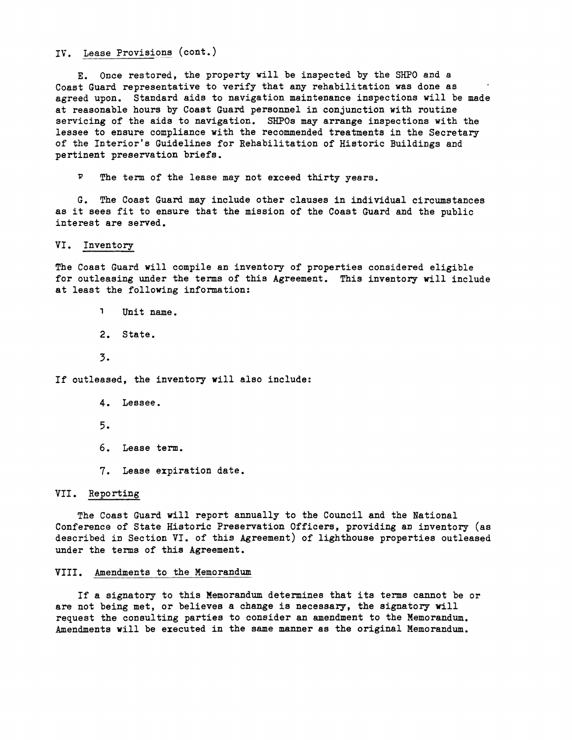IV. Lease Provisions (cont.)

E. Once restored, the property will be inspected by the SHPO and a Coast Guard representative to verify that any rehabilitation was done as agreed upon. Standard aids to navigation maintenance inspections will be made at reasonable hours by Coast Guard personnel in conjunction with routine servicing of the aids to navigation. SHPOs may arrange inspections with the lessee to ensure compliance with the recommended treatments in the Secretary of the Interior's Guidelines for Rehabilitation of Historic Buildings and pertinent preservation briefs.

*<sup>W</sup>*The term of the lease may not exceed thirty years.

G. The Coast Guard may include other clauses in individual circumstances as it sees fit to ensure that the mission of the Coast Guard and the public interest are served.

VI. Inventory

The Coast Guard **will** compile an inventory of properties considered eligible for outleasing under the terms of this Agreement. This inventory will include at least the following information:

1 Unit name.

2. State.

3.

If outleased, the inventory **will** also include:

- 4. Lessee.
- 5.
- 6. Lease term.
- 7. Lease expiration date.

## VII. Reporting

The Coast Guard **will** report annually to the Council and the National Conference of State Historic Preservation Officers, providing an inventory (as described in Section VI. of this Agreement) of lighthouse properties outleased under the terms of this Agreement.

#### VIII. Amendments to the Memorandum

If a signatory to this Memorandum determines that its terms cannot be or are not being met, or believes a change is necessary, the signatory will request the consulting parties to consider an amendment to the Memorandum. Amendments **will** be executed in the same manner as the original Memorandum.